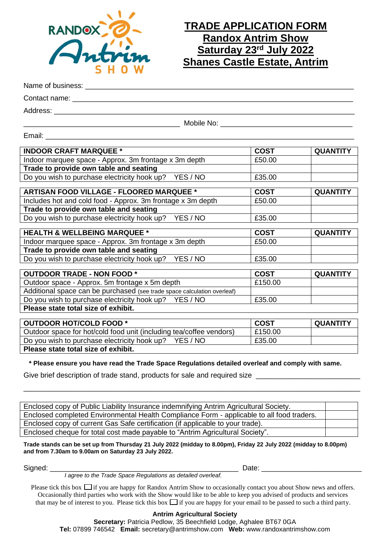

## **TRADE APPLICATION FORM Randox Antrim Show Saturday 23 rd July 2022 Shanes Castle Estate, Antrim**

Name of business:

Contact name: \_\_\_\_\_\_\_\_\_\_\_\_\_\_\_\_\_\_\_\_\_\_\_\_\_\_\_\_\_\_\_\_\_\_\_\_\_\_\_\_\_\_\_\_\_\_\_\_\_\_\_\_\_\_\_\_\_\_\_\_\_\_\_\_\_\_\_\_\_\_

Address:

\_\_\_\_\_\_\_\_\_\_\_\_\_\_\_\_\_\_\_\_\_\_\_\_\_\_\_\_\_\_\_\_\_\_\_\_\_\_\_ Mobile No: \_\_\_\_\_\_\_\_\_\_\_\_\_\_\_\_\_\_\_\_\_\_\_\_\_\_\_\_\_\_\_\_\_

Email:  $\blacksquare$ 

| <b>INDOOR CRAFT MARQUEE *</b>                               | <b>COST</b> | <b>QUANTITY</b> |
|-------------------------------------------------------------|-------------|-----------------|
| Indoor marquee space - Approx. 3m frontage x 3m depth       | £50.00      |                 |
| Trade to provide own table and seating                      |             |                 |
| Do you wish to purchase electricity hook up?<br>YES / NO    | £35.00      |                 |
|                                                             |             |                 |
| ARTISAN FOOD VILLAGE - FLOORED MARQUEE *                    | <b>COST</b> | <b>QUANTITY</b> |
| Includes hot and cold food - Approx. 3m frontage x 3m depth | £50.00      |                 |
| Trade to provide own table and seating                      |             |                 |
| Do you wish to purchase electricity hook up?<br>YES / NO    | £35.00      |                 |
|                                                             |             |                 |
| <b>HEALTH &amp; WELLBEING MARQUEE *</b>                     | <b>COST</b> | <b>QUANTITY</b> |
| Indoor marquee space - Approx. 3m frontage x 3m depth       | £50.00      |                 |
| Trade to provide own table and seating                      |             |                 |
| Do you wish to purchase electricity hook up?<br>YES / NO    | £35.00      |                 |
|                                                             |             |                 |
| OUTDOOR TRADE - NON FOOD *                                  | COST        | <b>QUANTITY</b> |

| <b>OUTDOOR TRADE - NON FOOD *</b>                                        | COST    | <b>QUANTITY</b> |
|--------------------------------------------------------------------------|---------|-----------------|
| Outdoor space - Approx. 5m frontage x 5m depth                           | £150.00 |                 |
| Additional space can be purchased (see trade space calculation overleaf) |         |                 |
| Do you wish to purchase electricity hook up? YES / NO                    | £35.00  |                 |
| Please state total size of exhibit.                                      |         |                 |

| <b>OUTDOOR HOT/COLD FOOD *</b>                                      | <b>COST</b> | <b>QUANTITY</b> |
|---------------------------------------------------------------------|-------------|-----------------|
| Outdoor space for hot/cold food unit (including tea/coffee vendors) | £150.00     |                 |
| Do you wish to purchase electricity hook up? YES / NO               | £35.00      |                 |
| Please state total size of exhibit.                                 |             |                 |

 **\* Please ensure you have read the Trade Space Regulations detailed overleaf and comply with same.**

Give brief description of trade stand, products for sale and required size \_\_\_\_\_\_\_\_\_\_\_\_\_\_\_\_\_\_\_\_\_\_\_\_\_\_\_\_\_\_\_\_\_\_\_

| Enclosed copy of Public Liability Insurance indemnifying Antrim Agricultural Society.     |  |
|-------------------------------------------------------------------------------------------|--|
| Enclosed completed Environmental Health Compliance Form - applicable to all food traders. |  |
| Enclosed copy of current Gas Safe certification (if applicable to your trade).            |  |
| Enclosed cheque for total cost made payable to "Antrim Agricultural Society".             |  |

\_\_\_\_\_\_\_\_\_\_\_\_\_\_\_\_\_\_\_\_\_\_\_\_\_\_\_\_\_\_\_\_\_\_\_\_\_\_\_\_\_\_\_\_\_\_\_\_\_\_\_\_\_\_\_\_\_\_\_\_\_\_\_\_\_\_\_\_\_\_\_\_\_\_\_\_\_\_\_\_\_\_\_\_

**Trade stands can be set up from Thursday 21 July 2022 (midday to 8.00pm), Friday 22 July 2022 (midday to 8.00pm) and from 7.30am to 9.00am on Saturday 23 July 2022.**

Signed: \_\_\_\_\_\_\_\_\_\_\_\_\_\_\_\_\_\_\_\_\_\_\_\_\_\_\_\_\_\_\_\_\_\_\_\_\_\_\_\_\_\_\_\_\_\_\_ Date: \_\_\_\_\_\_\_\_\_\_\_\_\_\_\_\_\_\_\_\_\_\_\_\_\_

*I agree to the Trade Space Regulations as detailed overleaf.*

Please tick this box  $\Box$  if you are happy for Randox Antrim Show to occasionally contact you about Show news and offers. Occasionally third parties who work with the Show would like to be able to keep you advised of products and services that may be of interest to you. Please tick this box  $\Box$  if you are happy for your email to be passed to such a third party.

**Antrim Agricultural Society** Secretary: Patricia Pedlow, 35 Beechfield Lodge, Aghalee BT67 0GA **Tel:** [07899](mailto:Tel:%2007899) 746542 **Email:** secretary[@antrimshow.com](mailto:antrimshowsec@hotmail.com) **Web:** www.randoxantrimshow.com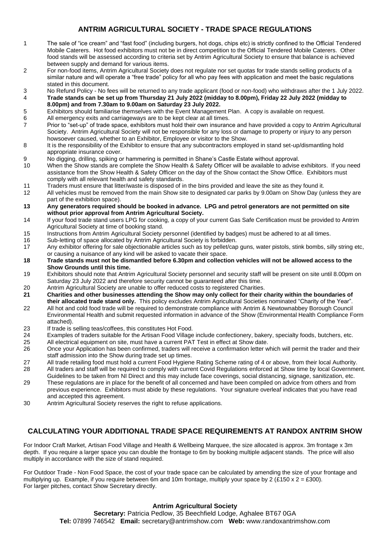### **ANTRIM AGRICULTURAL SOCIETY - TRADE SPACE REGULATIONS**

- 1 The sale of "ice cream" and "fast food" (including burgers, hot dogs, chips etc) is strictly confined to the Official Tendered Mobile Caterers. Hot food exhibitors must not be in direct competition to the Official Tendered Mobile Caterers. Other food stands will be assessed according to criteria set by Antrim Agricultural Society to ensure that balance is achieved between supply and demand for various items.
- 2 For non-food items, Antrim Agricultural Society does not regulate nor set quotas for trade stands selling products of a similar nature and will operate a "free trade" policy for all who pay fees with application and meet the basic regulations stated in this document.
- 3 No Refund Policy No fees will be returned to any trade applicant (food or non-food) who withdraws after the 1 July 2022.<br>Trade stands can be set up from Thursday 21 July 2022 (midday to 8.00pm). Friday 22 July 2022 (mi 4 **Trade stands can be set up from Thursday 21 July 2022 (midday to 8.00pm), Friday 22 July 2022 (midday to 8.00pm) and from 7.30am to 9.00am on Saturday 23 July 2022.**
- 5 Exhibitors should familiarise themselves with the Event Management Plan. A copy is available on request.
- 6 All emergency exits and carriageways are to be kept clear at all times.<br>
7 Prior to "set-up" of trade space exhibitors must hold their own insurance
- 7 Prior to "set-up" of trade space, exhibitors must hold their own insurance and have provided a copy to Antrim Agricultural Society. Antrim Agricultural Society will not be responsible for any loss or damage to property or injury to any person howsoever caused, whether to an Exhibitor, Employee or visitor to the Show.
- 8 It is the responsibility of the Exhibitor to ensure that any subcontractors employed in stand set-up/dismantling hold appropriate insurance cover.
- 9 No digging, drilling, spiking or hammering is permitted in Shane's Castle Estate without approval.
- 10 When the Show stands are complete the Show Health & Safety Officer will be available to advise exhibitors. If you need assistance from the Show Health & Safety Officer on the day of the Show contact the Show Office. Exhibitors must comply with all relevant health and safety standards.
- 11 Traders must ensure that litter/waste is disposed of in the bins provided and leave the site as they found it.
- 12 All vehicles must be removed from the main Show site to designated car parks by 9.00am on Show Day (unless they are part of the exhibition space).
- **13 Any generators required should be booked in advance. LPG and petrol generators are not permitted on site without prior approval from Antrim Agricultural Society.**
- 14 If your food trade stand users LPG for cooking, a copy of your current Gas Safe Certification must be provided to Antrim Agricultural Society at time of booking stand.
- 15 Instructions from Antrim Agricultural Society personnel (identified by badges) must be adhered to at all times.
- 16 Sub-letting of space allocated by Antrim Agricultural Society is forbidden.
- 17 Any exhibitor offering for sale objectionable articles such as toy pellet/cap guns, water pistols, stink bombs, silly string etc, or causing a nuisance of any kind will be asked to vacate their space.
- **18 Trade stands must not be dismantled before 6.30pm and collection vehicles will not be allowed access to the Show Grounds until this time.**
- 19 Exhibitors should note that Antrim Agricultural Society personnel and security staff will be present on site until 8.00pm on Saturday 23 July 2022 and therefore security cannot be guaranteed after this time.
- 20 Antrim Agricultural Society are unable to offer reduced costs to registered Charities.
- **21 Charities and other businesses attending the Show may only collect for their charity within the boundaries of their allocated trade stand only.** This policy excludes Antrim Agricultural Societies nominated "Charity of the Year". 22 All hot and cold food trade will be required to demonstrate compliance with Antrim & Newtownabbey Borough Council
- Environmental Health and submit requested information in advance of the Show (Environmental Health Compliance Form attached).
- 23 If trade is selling teas/coffees, this constitutes Hot Food.<br>24 Examples of traders suitable for the Artisan Food Village
- 24 Examples of traders suitable for the Artisan Food Village include confectionery, bakery, specialty foods, butchers, etc.<br>25 All electrical equipment on site, must have a current PAT Test in effect at Show date.
- All electrical equipment on site, must have a current PAT Test in effect at Show date.
- 26 Once your Application has been confirmed, traders will receive a confirmation letter which will permit the trader and their staff admission into the Show during trade set up times.
- 27 All trade retailing food must hold a current Food Hygiene Rating Scheme rating of 4 or above, from their local Authority. 28 All traders and staff will be required to comply with current Covid Regulations enforced at Show time by local Government.
- Guidelines to be taken from NI Direct and this may include face coverings, social distancing, signage, sanitization, etc. 29 These regulations are in place for the benefit of all concerned and have been compiled on advice from others and from
- previous experience. Exhibitors must abide by these regulations. Your signature overleaf indicates that you have read and accepted this agreement.
- 30 Antrim Agricultural Society reserves the right to refuse applications.

### **CALCULATING YOUR ADDITIONAL TRADE SPACE REQUIREMENTS AT RANDOX ANTRIM SHOW**

For Indoor Craft Market, Artisan Food Village and Health & Wellbeing Marquee, the size allocated is approx. 3m frontage x 3m depth. If you require a larger space you can double the frontage to 6m by booking multiple adjacent stands. The price will also multiply in accordance with the size of stand required.

For Outdoor Trade - Non Food Space, the cost of your trade space can be calculated by amending the size of your frontage and multiplying up. Example, if you require between 6m and 10m frontage, multiply your space by 2 (£150 x 2 = £300). For larger pitches, contact Show Secretary directly.

#### **Antrim Agricultural Society**

**Secretary:** Patricia Pedlow, 35 Beechfield Lodge, Aghalee BT67 0GA **Tel:** [07899](mailto:Tel:%2007899) 746542 **Email:** secretary[@antrimshow.com](mailto:antrimshowsec@hotmail.com) **Web:** www.randoxantrimshow.com